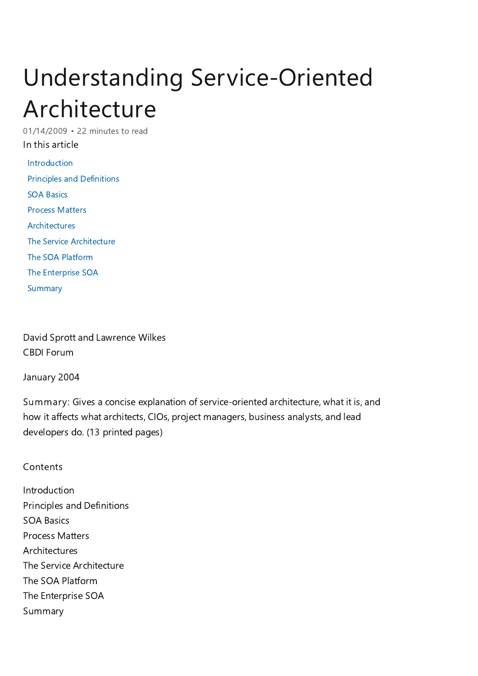# Understanding Service-Oriented Architecture

01/14/2009 • 22 minutes to read In this article

[Introduction](#page-1-0) Principles and [Definitions](#page-2-0) SOA [Basics](#page-3-0) Process [Matters](#page-6-0) **[Architectures](#page-8-0)** The Service [Architecture](#page-10-0) The SOA [Platform](#page-11-0) The [Enterprise](#page-12-0) SOA **[Summary](#page-12-1)** 

David Sprott and Lawrence Wilkes CBDI Forum

January 2004

Summary: Gives a concise explanation of service-oriented architecture, what it is, and how it affects what architects, CIOs, project managers, business analysts, and lead developers do. (13 printed pages)

#### Contents

Introduction Principles and Definitions SOA Basics Process Matters Architectures The Service Architecture The SOA Platform The Enterprise SOA Summary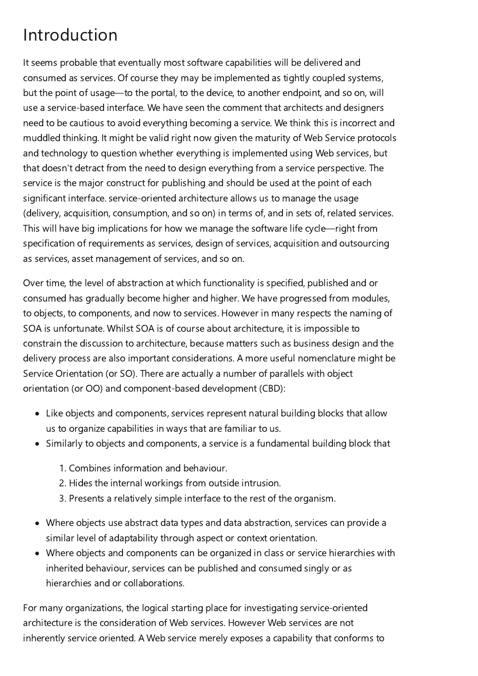### <span id="page-1-0"></span>Introduction

It seems probable that eventually most software capabilities will be delivered and consumed as services. Of course they may be implemented as tightly coupled systems, but the point of usage—to the portal, to the device, to another endpoint, and so on, will use a service-based interface. We have seen the comment that architects and designers need to be cautious to avoid everything becoming a service. We think this is incorrect and muddled thinking. It might be valid right now given the maturity of Web Service protocols and technology to question whether everything is implemented using Web services, but that doesn't detract from the need to design everything from a service perspective. The service is the major construct for publishing and should be used at the point of each significant interface. service-oriented architecture allows us to manage the usage (delivery, acquisition, consumption, and so on) in terms of, and in sets of, related services. This will have big implications for how we manage the software life cycle—right from specification of requirements as services, design of services, acquisition and outsourcing as services, asset management of services, and so on.

Over time, the level of abstraction at which functionality is specified, published and or consumed has gradually become higher and higher. We have progressed from modules, to objects, to components, and now to services. However in many respects the naming of SOA is unfortunate. Whilst SOA is of course about architecture, it is impossible to constrain the discussion to architecture, because matters such as business design and the delivery process are also important considerations. A more useful nomenclature might be Service Orientation (or SO). There are actually a number of parallels with object orientation (or OO) and component-based development (CBD):

- Like objects and components, services represent natural building blocks that allow us to organize capabilities in ways that are familiar to us.
- Similarly to objects and components, a service is a fundamental building block that
	- . Combines information and behaviour.
	- . Hides the internal workings from outside intrusion.
	- . Presents a relatively simple interface to the rest of the organism.
- Where objects use abstract data types and data abstraction, services can provide a similar level of adaptability through aspect or context orientation.
- Where objects and components can be organized in class or service hierarchies with inherited behaviour, services can be published and consumed singly or as hierarchies and or collaborations.

For many organizations, the logical starting place for investigating service-oriented architecture is the consideration of Web services. However Web services are not inherently service oriented. A Web service merely exposes a capability that conforms to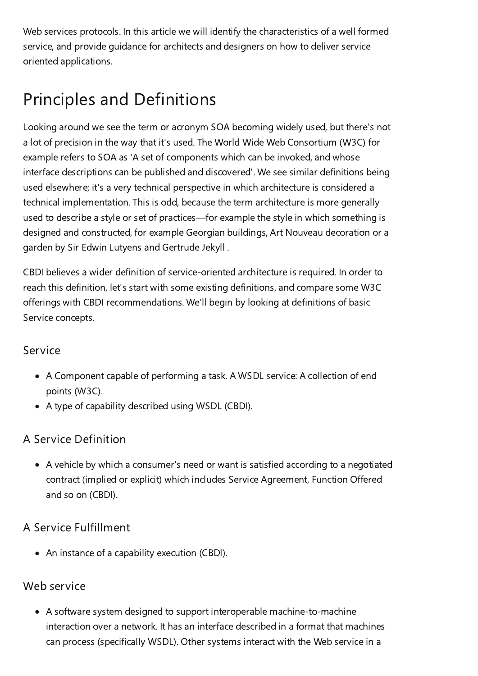Web services protocols. In this article we will identify the characteristics of a well formed service, and provide guidance for architects and designers on how to deliver service oriented applications.

# <span id="page-2-0"></span>Principles and Definitions

Looking around we see the term or acronym SOA becoming widely used, but there's not a lot of precision in the way that it's used. The World Wide Web Consortium (W3C) for example refers to SOA as 'A set of components which can be invoked, and whose interface descriptions can be published and discovered'. We see similar definitions being used elsewhere; it's a very technical perspective in which architecture is considered a technical implementation. This is odd, because the term architecture is more generally used to describe a style or set of practices—for example the style in which something is designed and constructed, for example Georgian buildings, Art Nouveau decoration or a garden by Sir Edwin Lutyens and Gertrude Jekyll .

CBDI believes a wider definition of service-oriented architecture is required. In order to reach this definition, let's start with some existing definitions, and compare some W3C offerings with CBDI recommendations. We'll begin by looking at definitions of basic Service concepts.

#### Service

- A Component capable of performing a task. A WSDL service: A collection of end points (W3C).
- A type of capability described using WSDL (CBDI).

#### A Service Definition

A vehicle by which a consumer's need or want is satisfied according to a negotiated contract (implied or explicit) which includes Service Agreement, Function Offered and so on (CBDI).

#### A Service Fulfillment

An instance of a capability execution (CBDI).

#### Web service

A software system designed to support interoperable machine-to-machine interaction over a network. It has an interface described in a format that machines can process (specifically WSDL). Other systems interact with the Web service in a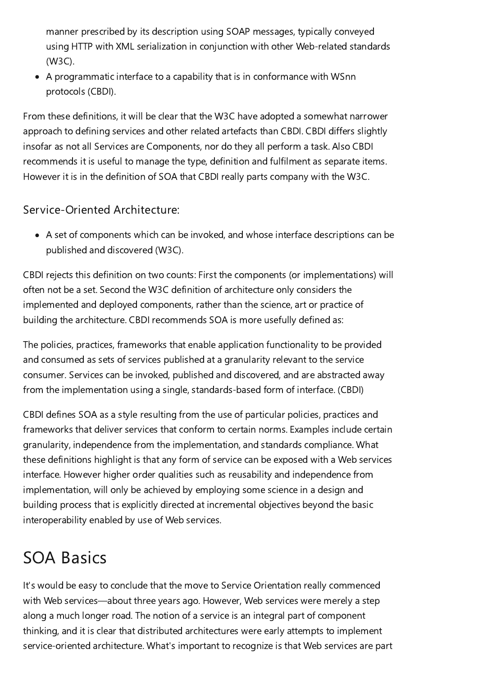manner prescribed by its description using SOAP messages, typically conveyed using HTTP with XML serialization in conjunction with other Web-related standards (W3C).

A programmatic interface to a capability that is in conformance with WSnn protocols (CBDI).

From these definitions, it will be clear that the W3C have adopted a somewhat narrower approach to defining services and other related artefacts than CBDI. CBDI differs slightly insofar as not all Services are Components, nor do they all perform a task. Also CBDI recommends it is useful to manage the type, definition and fulfilment as separate items. However it is in the definition of SOA that CBDI really parts company with the W3C.

#### Service-Oriented Architecture:

A set of components which can be invoked, and whose interface descriptions can be published and discovered (W3C).

CBDI rejects this definition on two counts: First the components (or implementations) will often not be a set. Second the W3C definition of architecture only considers the implemented and deployed components, rather than the science, art or practice of building the architecture. CBDI recommends SOA is more usefully defined as:

The policies, practices, frameworks that enable application functionality to be provided and consumed as sets of services published at a granularity relevant to the service consumer. Services can be invoked, published and discovered, and are abstracted away from the implementation using a single, standards-based form of interface. (CBDI)

CBDI defines SOA as a style resulting from the use of particular policies, practices and frameworks that deliver services that conform to certain norms. Examples include certain granularity, independence from the implementation, and standards compliance. What these definitions highlight is that any form of service can be exposed with a Web services interface. However higher order qualities such as reusability and independence from implementation, will only be achieved by employing some science in a design and building process that is explicitly directed at incremental objectives beyond the basic interoperability enabled by use of Web services.

### <span id="page-3-0"></span>SOA Basics

It's would be easy to conclude that the move to Service Orientation really commenced with Web services—about three years ago. However, Web services were merely a step along a much longer road. The notion of a service is an integral part of component thinking, and it is clear that distributed architectures were early attempts to implement service-oriented architecture. What's important to recognize is that Web services are part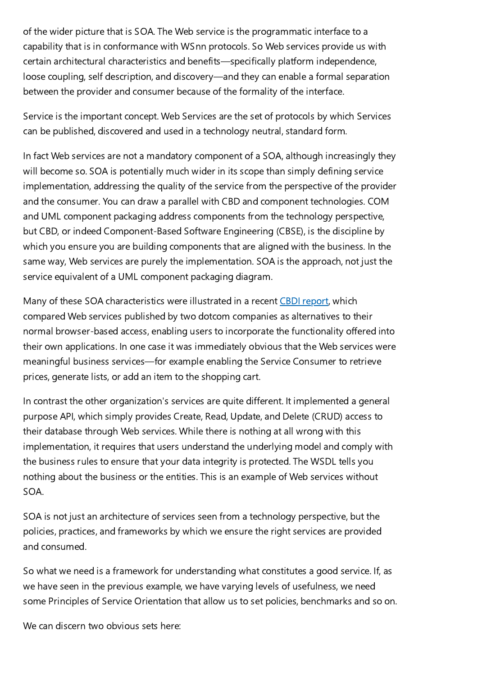of the wider picture that is SOA. The Web service is the programmatic interface to a capability that is in conformance with WSnn protocols. So Web services provide us with certain architectural characteristics and benefits—specifically platform independence, loose coupling, self description, and discovery—and they can enable a formal separation between the provider and consumer because of the formality of the interface.

Service is the important concept. Web Services are the set of protocols by which Services can be published, discovered and used in a technology neutral, standard form.

In fact Web services are not a mandatory component of a SOA, although increasingly they will become so. SOA is potentially much wider in its scope than simply defining service implementation, addressing the quality of the service from the perspective of the provider and the consumer. You can draw a parallel with CBD and component technologies. COM and UML component packaging address components from the technology perspective, but CBD, or indeed Component-Based Software Engineering (CBSE), is the discipline by which you ensure you are building components that are aligned with the business. In the same way, Web services are purely the implementation. SOA is the approach, not just the service equivalent of a UML component packaging diagram.

Many of these SOA characteristics were illustrated in a recent CBDI [report](http://www.cbdiforum.com/secure/interact/2003-07/service_based_pkd_apps.php3), which compared Web services published by two dotcom companies as alternatives to their normal browser-based access, enabling users to incorporate the functionality offered into their own applications. In one case it was immediately obvious that the Web services were meaningful business services—for example enabling the Service Consumer to retrieve prices, generate lists, or add an item to the shopping cart.

In contrast the other organization's services are quite different. It implemented a general purpose API, which simply provides Create, Read, Update, and Delete (CRUD) access to their database through Web services. While there is nothing at all wrong with this implementation, it requires that users understand the underlying model and comply with the business rules to ensure that your data integrity is protected. The WSDL tells you nothing about the business or the entities. This is an example of Web services without SOA.

SOA is not just an architecture of services seen from a technology perspective, but the policies, practices, and frameworks by which we ensure the right services are provided and consumed.

So what we need is a framework for understanding what constitutes a good service. If, as we have seen in the previous example, we have varying levels of usefulness, we need some Principles of Service Orientation that allow us to set policies, benchmarks and so on.

We can discern two obvious sets here: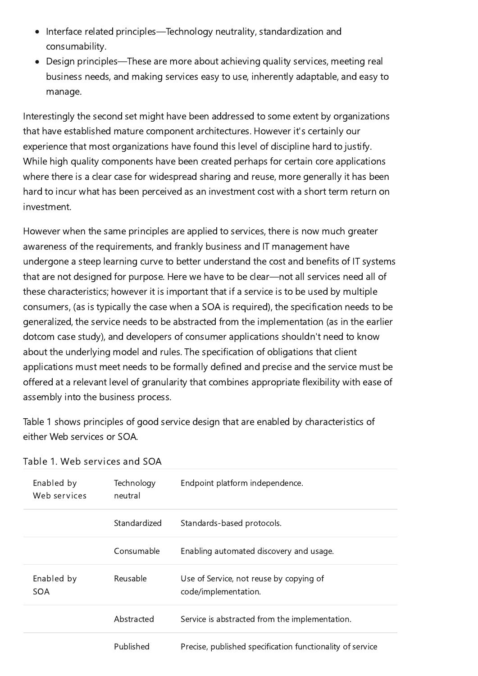- Interface related principles—Technology neutrality, standardization and consumability.
- Design principles—These are more about achieving quality services, meeting real business needs, and making services easy to use, inherently adaptable, and easy to manage.

Interestingly the second set might have been addressed to some extent by organizations that have established mature component architectures. However it's certainly our experience that most organizations have found this level of discipline hard to justify. While high quality components have been created perhaps for certain core applications where there is a clear case for widespread sharing and reuse, more generally it has been hard to incur what has been perceived as an investment cost with a short term return on investment.

However when the same principles are applied to services, there is now much greater awareness of the requirements, and frankly business and IT management have undergone a steep learning curve to better understand the cost and benefits of IT systems that are not designed for purpose. Here we have to be clear—not all services need all of these characteristics; however it is important that if a service is to be used by multiple consumers, (as is typically the case when a SOA is required), the specification needs to be generalized, the service needs to be abstracted from the implementation (as in the earlier dotcom case study), and developers of consumer applications shouldn't need to know about the underlying model and rules. The specification of obligations that client applications must meet needs to be formally defined and precise and the service must be offered at a relevant level of granularity that combines appropriate flexibility with ease of assembly into the business process.

Table 1 shows principles of good service design that are enabled by characteristics of either Web services or SOA.

| Enabled by<br>Web services | Technology<br>neutral | Endpoint platform independence.                                 |
|----------------------------|-----------------------|-----------------------------------------------------------------|
|                            | Standardized          | Standards-based protocols.                                      |
|                            | Consumable            | Enabling automated discovery and usage.                         |
| Enabled by<br>SOA          | Reusable              | Use of Service, not reuse by copying of<br>code/implementation. |
|                            | Abstracted            | Service is abstracted from the implementation.                  |
|                            | Published             | Precise, published specification functionality of service       |

#### Table 1. Web services and SOA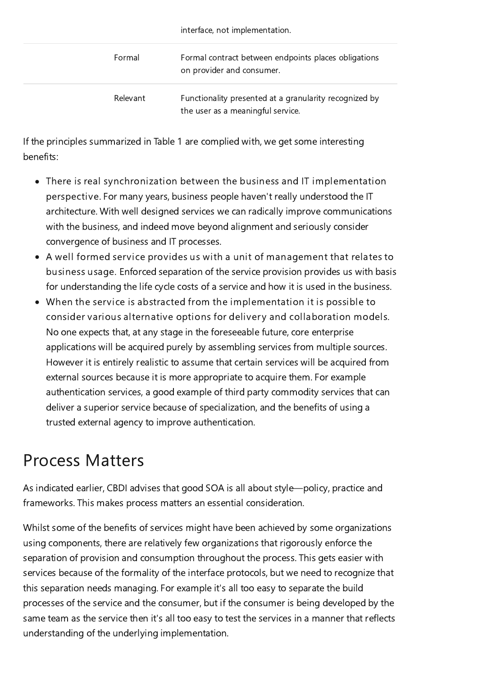interface, not implementation.

| Formal   | Formal contract between endpoints places obligations<br>on provider and consumer.           |
|----------|---------------------------------------------------------------------------------------------|
| Relevant | Functionality presented at a granularity recognized by<br>the user as a meaningful service. |

If the principles summarized in Table 1 are complied with, we get some interesting benefits:

- There is real synchronization between the business and IT implementation perspective. For many years, business people haven't really understood the IT architecture. With well designed services we can radically improve communications with the business, and indeed move beyond alignment and seriously consider convergence of business and IT processes.
- A well formed service provides us with a unit of management that relates to business usage. Enforced separation of the service provision provides us with basis for understanding the life cycle costs of a service and how it is used in the business.
- When the service is abstracted from the implementation it is possible to consider various alternative options for delivery and collaboration models. No one expects that, at any stage in the foreseeable future, core enterprise applications will be acquired purely by assembling services from multiple sources. However it is entirely realistic to assume that certain services will be acquired from external sources because it is more appropriate to acquire them. For example authentication services, a good example of third party commodity services that can deliver a superior service because of specialization, and the benefits of using a trusted external agency to improve authentication.

#### <span id="page-6-0"></span>Process Matters

As indicated earlier, CBDI advises that good SOA is all about style—policy, practice and frameworks. This makes process matters an essential consideration.

Whilst some of the benefits of services might have been achieved by some organizations using components, there are relatively few organizations that rigorously enforce the separation of provision and consumption throughout the process. This gets easier with services because of the formality of the interface protocols, but we need to recognize that this separation needs managing. For example it's all too easy to separate the build processes of the service and the consumer, but if the consumer is being developed by the same team as the service then it's all too easy to test the services in a manner that reflects understanding of the underlying implementation.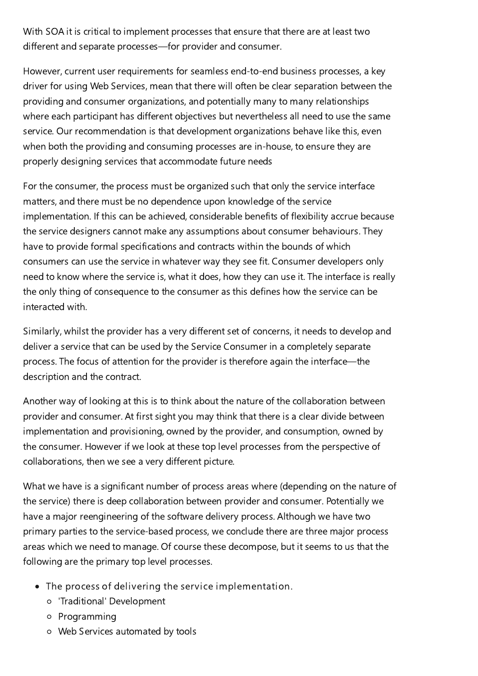With SOA it is critical to implement processes that ensure that there are at least two different and separate processes—for provider and consumer.

However, current user requirements for seamless end-to-end business processes, a key driver for using Web Services, mean that there will often be clear separation between the providing and consumer organizations, and potentially many to many relationships where each participant has different objectives but nevertheless all need to use the same service. Our recommendation is that development organizations behave like this, even when both the providing and consuming processes are in-house, to ensure they are properly designing services that accommodate future needs

For the consumer, the process must be organized such that only the service interface matters, and there must be no dependence upon knowledge of the service implementation. If this can be achieved, considerable benefits of flexibility accrue because the service designers cannot make any assumptions about consumer behaviours. They have to provide formal specifications and contracts within the bounds of which consumers can use the service in whatever way they see fit. Consumer developers only need to know where the service is, what it does, how they can use it. The interface is really the only thing of consequence to the consumer as this defines how the service can be interacted with.

Similarly, whilst the provider has a very different set of concerns, it needs to develop and deliver a service that can be used by the Service Consumer in a completely separate process. The focus of attention for the provider is therefore again the interface—the description and the contract.

Another way of looking at this is to think about the nature of the collaboration between provider and consumer. At first sight you may think that there is a clear divide between implementation and provisioning, owned by the provider, and consumption, owned by the consumer. However if we look at these top level processes from the perspective of collaborations, then we see a very different picture.

What we have is a significant number of process areas where (depending on the nature of the service) there is deep collaboration between provider and consumer. Potentially we have a major reengineering of the software delivery process. Although we have two primary parties to the service-based process, we conclude there are three major process areas which we need to manage. Of course these decompose, but it seems to us that the following are the primary top level processes.

- The process of delivering the service implementation.
	- 'Traditional' Development
	- o Programming
	- Web Services automated by tools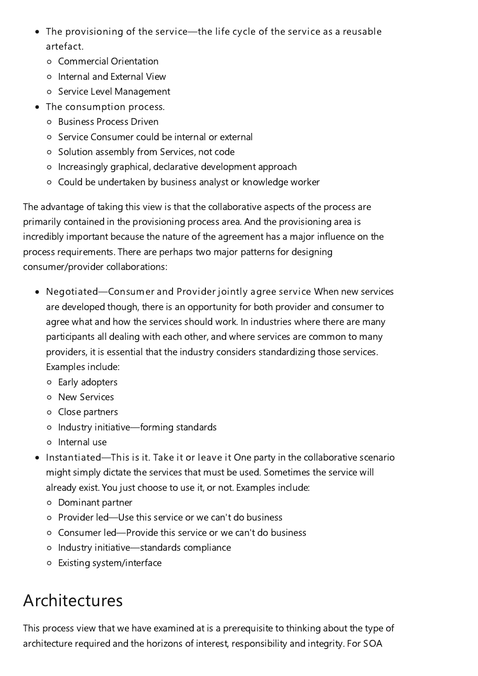- The provisioning of the service—the life cycle of the service as a reusable artefact.
	- Commercial Orientation
	- Internal and External View
	- o Service Level Management
- The consumption process.
	- Business Process Driven
	- Service Consumer could be internal or external
	- o Solution assembly from Services, not code
	- o Increasingly graphical, declarative development approach
	- Could be undertaken by business analyst or knowledge worker

The advantage of taking this view is that the collaborative aspects of the process are primarily contained in the provisioning process area. And the provisioning area is incredibly important because the nature of the agreement has a major influence on the process requirements. There are perhaps two major patterns for designing consumer/provider collaborations:

- Negotiated—Consumer and Provider jointly agree service When new services are developed though, there is an opportunity for both provider and consumer to agree what and how the services should work. In industries where there are many participants all dealing with each other, and where services are common to many providers, it is essential that the industry considers standardizing those services. Examples include:
	- Early adopters
	- New Services
	- Close partners
	- o Industry initiative—forming standards
	- o Internal use
- Instantiated—This is it. Take it or leave it One party in the collaborative scenario  $\bullet$ might simply dictate the services that must be used. Sometimes the service will already exist. You just choose to use it, or not. Examples include:
	- Dominant partner
	- Provider led—Use this service or we can't do business
	- Consumer led—Provide this service or we can't do business
	- Industry initiative—standards compliance
	- Existing system/interface

### <span id="page-8-0"></span>Architectures

This process view that we have examined at is a prerequisite to thinking about the type of architecture required and the horizons of interest, responsibility and integrity. For SOA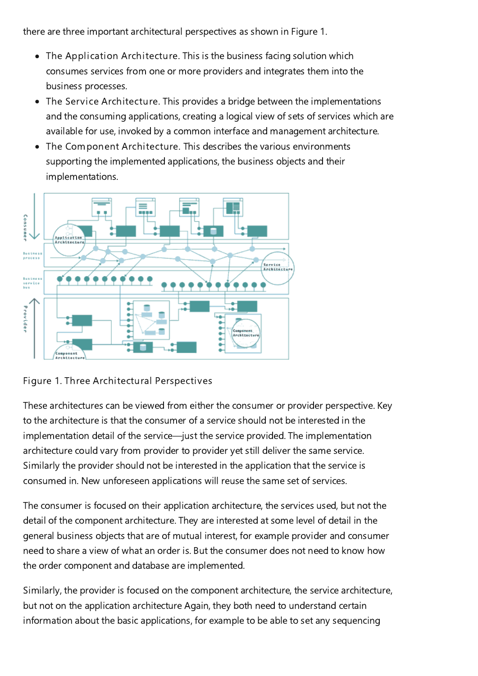there are three important architectural perspectives as shown in Figure 1.

- The Application Architecture. This is the business facing solution which consumes services from one or more providers and integrates them into the business processes.
- The Service Architecture. This provides a bridge between the implementations and the consuming applications, creating a logical view of sets of services which are available for use, invoked by a common interface and management architecture.
- The Component Architecture. This describes the various environments  $\bullet$ supporting the implemented applications, the business objects and their implementations.





These architectures can be viewed from either the consumer or provider perspective. Key to the architecture is that the consumer of a service should not be interested in the implementation detail of the service—just the service provided. The implementation architecture could vary from provider to provider yet still deliver the same service. Similarly the provider should not be interested in the application that the service is consumed in. New unforeseen applications will reuse the same set of services.

The consumer is focused on their application architecture, the services used, but not the detail of the component architecture. They are interested at some level of detail in the general business objects that are of mutual interest, for example provider and consumer need to share a view of what an order is. But the consumer does not need to know how the order component and database are implemented.

Similarly, the provider is focused on the component architecture, the service architecture, but not on the application architecture Again, they both need to understand certain information about the basic applications, for example to be able to set any sequencing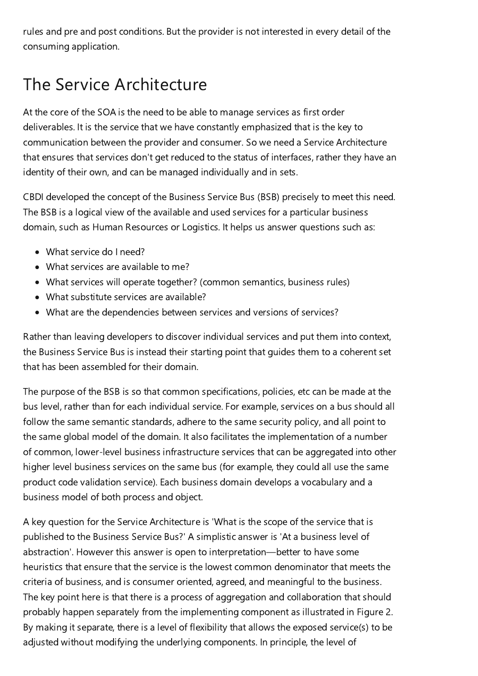rules and pre and post conditions. But the provider is not interested in every detail of the consuming application.

### <span id="page-10-0"></span>The Service Architecture

At the core of the SOA is the need to be able to manage services as first order deliverables. It is the service that we have constantly emphasized that is the key to communication between the provider and consumer. So we need a Service Architecture that ensures that services don't get reduced to the status of interfaces, rather they have an identity of their own, and can be managed individually and in sets.

CBDI developed the concept of the Business Service Bus (BSB) precisely to meet this need. The BSB is a logical view of the available and used services for a particular business domain, such as Human Resources or Logistics. It helps us answer questions such as:

- What service do I need?
- What services are available to me?
- What services will operate together? (common semantics, business rules)
- What substitute services are available?
- What are the dependencies between services and versions of services?

Rather than leaving developers to discover individual services and put them into context, the Business Service Bus is instead their starting point that guides them to a coherent set that has been assembled for their domain.

The purpose of the BSB is so that common specifications, policies, etc can be made at the bus level, rather than for each individual service. For example, services on a bus should all follow the same semantic standards, adhere to the same security policy, and all point to the same global model of the domain. It also facilitates the implementation of a number of common, lower-level business infrastructure services that can be aggregated into other higher level business services on the same bus (for example, they could all use the same product code validation service). Each business domain develops a vocabulary and a business model of both process and object.

A key question for the Service Architecture is 'What is the scope of the service that is published to the Business Service Bus?' A simplistic answer is 'At a business level of abstraction'. However this answer is open to interpretation—better to have some heuristics that ensure that the service is the lowest common denominator that meets the criteria of business, and is consumer oriented, agreed, and meaningful to the business. The key point here is that there is a process of aggregation and collaboration that should probably happen separately from the implementing component as illustrated in Figure 2. By making it separate, there is a level of flexibility that allows the exposed service(s) to be adjusted without modifying the underlying components. In principle, the level of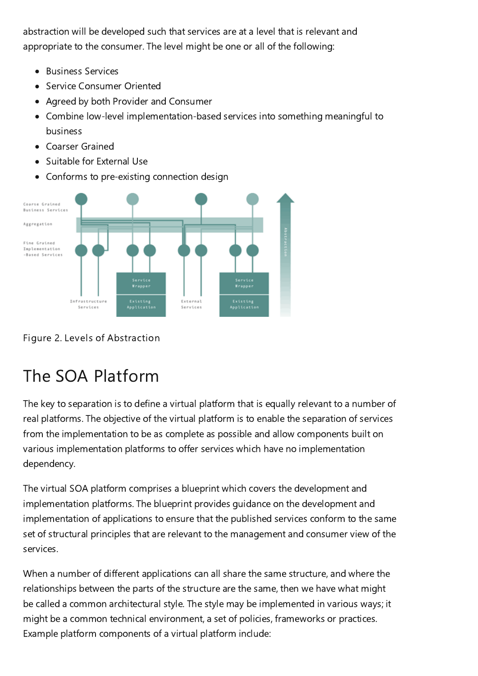abstraction will be developed such that services are at a level that is relevant and appropriate to the consumer. The level might be one or all of the following:

- Business Services  $\bullet$
- Service Consumer Oriented  $\bullet$
- Agreed by both Provider and Consumer  $\bullet$
- Combine low-level implementation-based services into something meaningful to business
- Coarser Grained  $\bullet$
- Suitable for External Use  $\bullet$
- Conforms to pre-existing connection design  $\bullet$



Figure 2. Levels of Abstraction

### <span id="page-11-0"></span>The SOA Platform

The key to separation is to define a virtual platform that is equally relevant to a number of real platforms. The objective of the virtual platform is to enable the separation of services from the implementation to be as complete as possible and allow components built on various implementation platforms to offer services which have no implementation dependency.

The virtual SOA platform comprises a blueprint which covers the development and implementation platforms. The blueprint provides guidance on the development and implementation of applications to ensure that the published services conform to the same set of structural principles that are relevant to the management and consumer view of the services.

When a number of different applications can all share the same structure, and where the relationships between the parts of the structure are the same, then we have what might be called a common architectural style. The style may be implemented in various ways; it might be a common technical environment, a set of policies, frameworks or practices. Example platform components of a virtual platform include: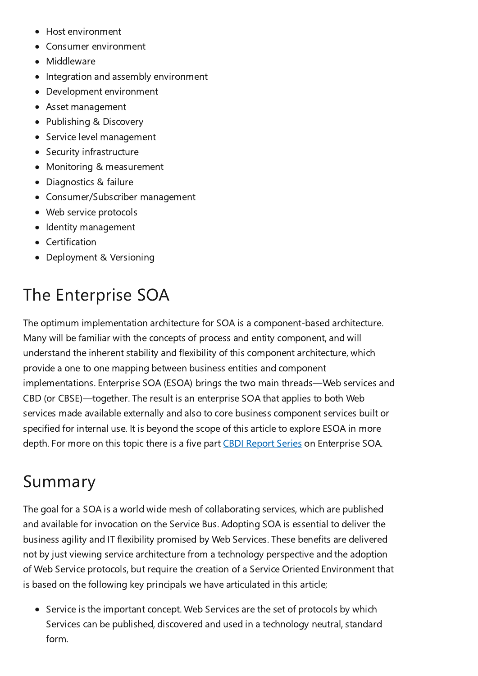- Host environment  $\bullet$
- Consumer environment  $\bullet$
- Middleware  $\bullet$
- Integration and assembly environment  $\bullet$
- Development environment  $\bullet$
- Asset management
- Publishing & Discovery  $\bullet$
- Service level management  $\bullet$
- Security infrastructure  $\bullet$
- Monitoring & measurement  $\bullet$
- Diagnostics & failure  $\bullet$
- Consumer/Subscriber management
- Web service protocols
- Identity management
- Certification
- Deployment & Versioning

# <span id="page-12-0"></span>The Enterprise SOA

The optimum implementation architecture for SOA is a component-based architecture. Many will be familiar with the concepts of process and entity component, and will understand the inherent stability and flexibility of this component architecture, which provide a one to one mapping between business entities and component implementations. Enterprise SOA (ESOA) brings the two main threads—Web services and CBD (or CBSE)—together. The result is an enterprise SOA that applies to both Web services made available externally and also to core business component services built or specified for internal use. It is beyond the scope of this article to explore ESOA in more depth. For more on this topic there is a five part CBDI [Report](http://www.cbdiforum.com/secure/interact/2003-03/foundation.php3) Series on Enterprise SOA.

# <span id="page-12-1"></span>Summary

The goal for a SOA is a world wide mesh of collaborating services, which are published and available for invocation on the Service Bus. Adopting SOA is essential to deliver the business agility and IT flexibility promised by Web Services. These benefits are delivered not by just viewing service architecture from a technology perspective and the adoption of Web Service protocols, but require the creation of a Service Oriented Environment that is based on the following key principals we have articulated in this article;

• Service is the important concept. Web Services are the set of protocols by which Services can be published, discovered and used in a technology neutral, standard form.